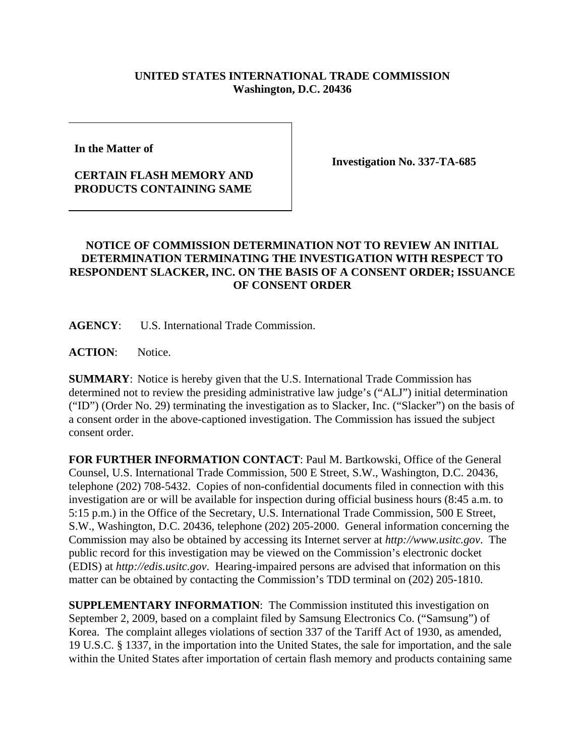## **UNITED STATES INTERNATIONAL TRADE COMMISSION Washington, D.C. 20436**

**In the Matter of** 

## **CERTAIN FLASH MEMORY AND PRODUCTS CONTAINING SAME**

**Investigation No. 337-TA-685**

## **NOTICE OF COMMISSION DETERMINATION NOT TO REVIEW AN INITIAL DETERMINATION TERMINATING THE INVESTIGATION WITH RESPECT TO RESPONDENT SLACKER, INC. ON THE BASIS OF A CONSENT ORDER; ISSUANCE OF CONSENT ORDER**

**AGENCY**: U.S. International Trade Commission.

ACTION: Notice.

**SUMMARY**: Notice is hereby given that the U.S. International Trade Commission has determined not to review the presiding administrative law judge's ("ALJ") initial determination ("ID") (Order No. 29) terminating the investigation as to Slacker, Inc. ("Slacker") on the basis of a consent order in the above-captioned investigation. The Commission has issued the subject consent order.

**FOR FURTHER INFORMATION CONTACT**: Paul M. Bartkowski, Office of the General Counsel, U.S. International Trade Commission, 500 E Street, S.W., Washington, D.C. 20436, telephone (202) 708-5432. Copies of non-confidential documents filed in connection with this investigation are or will be available for inspection during official business hours (8:45 a.m. to 5:15 p.m.) in the Office of the Secretary, U.S. International Trade Commission, 500 E Street, S.W., Washington, D.C. 20436, telephone (202) 205-2000. General information concerning the Commission may also be obtained by accessing its Internet server at *http://www.usitc.gov*. The public record for this investigation may be viewed on the Commission's electronic docket (EDIS) at *http://edis.usitc.gov*. Hearing-impaired persons are advised that information on this matter can be obtained by contacting the Commission's TDD terminal on (202) 205-1810.

**SUPPLEMENTARY INFORMATION**: The Commission instituted this investigation on September 2, 2009, based on a complaint filed by Samsung Electronics Co. ("Samsung") of Korea. The complaint alleges violations of section 337 of the Tariff Act of 1930, as amended, 19 U.S.C. § 1337, in the importation into the United States, the sale for importation, and the sale within the United States after importation of certain flash memory and products containing same